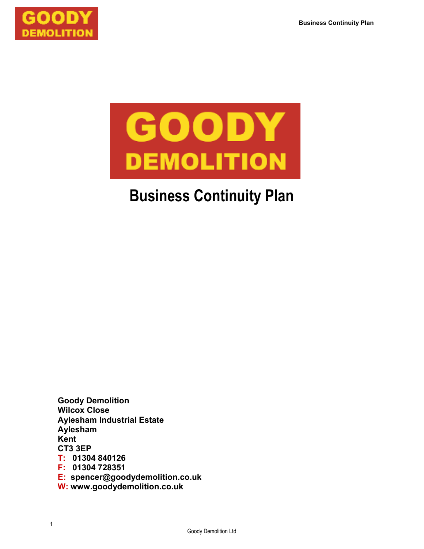



# **Business Continuity Plan**

**Goody Demolition Wilcox Close Aylesham Industrial Estate Aylesham Kent CT3 3EP T: 01304 840126 F: 01304 728351 E: spencer@goodydemolition.co.uk W: www.goodydemolition.co.uk** 

1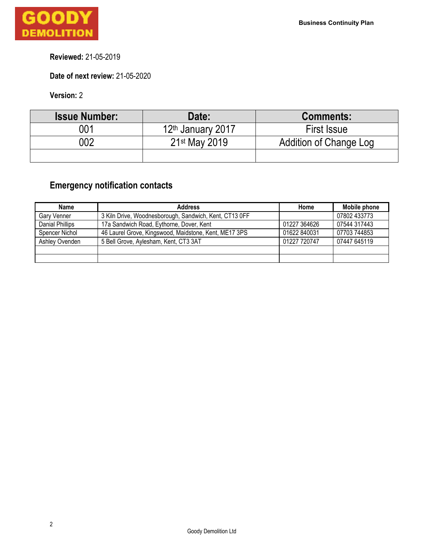

# **Reviewed:** 21-05-2019

# **Date of next review:** 21-05-2020

**Version:** 2

| <b>Issue Number:</b> | Date:                         | Comments:              |
|----------------------|-------------------------------|------------------------|
| 001                  | 12 <sup>th</sup> January 2017 | <b>First Issue</b>     |
| 002                  | 21 <sup>st</sup> May 2019     | Addition of Change Log |
|                      |                               |                        |

# **Emergency notification contacts**

| <b>Name</b>     | <b>Address</b>                                         | Home         | Mobile phone |
|-----------------|--------------------------------------------------------|--------------|--------------|
| Gary Venner     | 3 Kiln Drive, Woodnesborough, Sandwich, Kent, CT13 0FF |              | 07802 433773 |
| Danial Phillips | 17a Sandwich Road, Eythorne, Dover, Kent               | 01227 364626 | 07544 317443 |
| Spencer Nichol  | 46 Laurel Grove, Kingswood, Maidstone, Kent, ME17 3PS  | 01622 840031 | 07703 744853 |
| Ashley Ovenden  | 5 Bell Grove, Aylesham, Kent, CT3 3AT                  | 01227 720747 | 07447 645119 |
|                 |                                                        |              |              |
|                 |                                                        |              |              |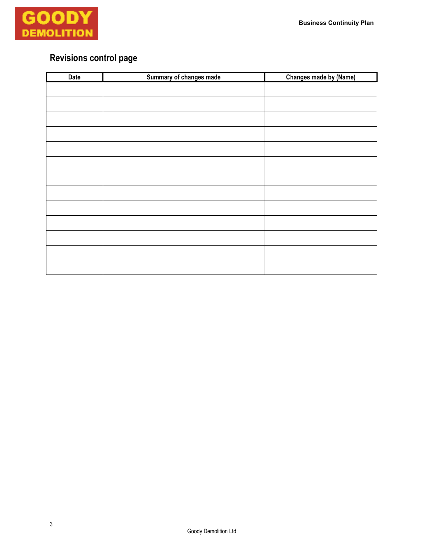

# **Revisions control page**

| Date | Summary of changes made | <b>Changes made by (Name)</b> |
|------|-------------------------|-------------------------------|
|      |                         |                               |
|      |                         |                               |
|      |                         |                               |
|      |                         |                               |
|      |                         |                               |
|      |                         |                               |
|      |                         |                               |
|      |                         |                               |
|      |                         |                               |
|      |                         |                               |
|      |                         |                               |
|      |                         |                               |
|      |                         |                               |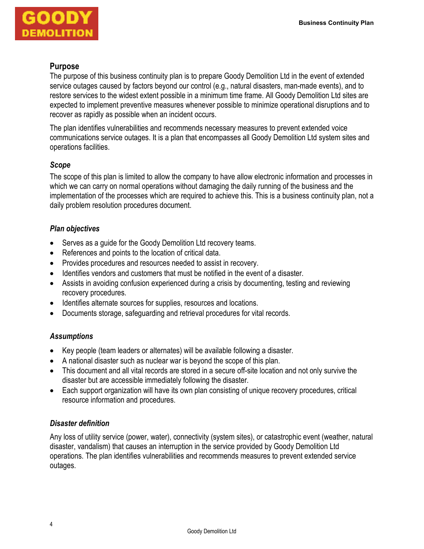

# **Purpose**

The purpose of this business continuity plan is to prepare Goody Demolition Ltd in the event of extended service outages caused by factors beyond our control (e.g., natural disasters, man-made events), and to restore services to the widest extent possible in a minimum time frame. All Goody Demolition Ltd sites are expected to implement preventive measures whenever possible to minimize operational disruptions and to recover as rapidly as possible when an incident occurs.

The plan identifies vulnerabilities and recommends necessary measures to prevent extended voice communications service outages. It is a plan that encompasses all Goody Demolition Ltd system sites and operations facilities.

# *Scope*

The scope of this plan is limited to allow the company to have allow electronic information and processes in which we can carry on normal operations without damaging the daily running of the business and the implementation of the processes which are required to achieve this. This is a business continuity plan, not a daily problem resolution procedures document.

# *Plan objectives*

- Serves as a guide for the Goody Demolition Ltd recovery teams.
- References and points to the location of critical data.
- Provides procedures and resources needed to assist in recovery.
- Identifies vendors and customers that must be notified in the event of a disaster.
- Assists in avoiding confusion experienced during a crisis by documenting, testing and reviewing recovery procedures.
- Identifies alternate sources for supplies, resources and locations.
- Documents storage, safeguarding and retrieval procedures for vital records.

# *Assumptions*

- Key people (team leaders or alternates) will be available following a disaster.
- A national disaster such as nuclear war is beyond the scope of this plan.
- This document and all vital records are stored in a secure off-site location and not only survive the disaster but are accessible immediately following the disaster.
- Each support organization will have its own plan consisting of unique recovery procedures, critical resource information and procedures.

# *Disaster definition*

Any loss of utility service (power, water), connectivity (system sites), or catastrophic event (weather, natural disaster, vandalism) that causes an interruption in the service provided by Goody Demolition Ltd operations. The plan identifies vulnerabilities and recommends measures to prevent extended service outages.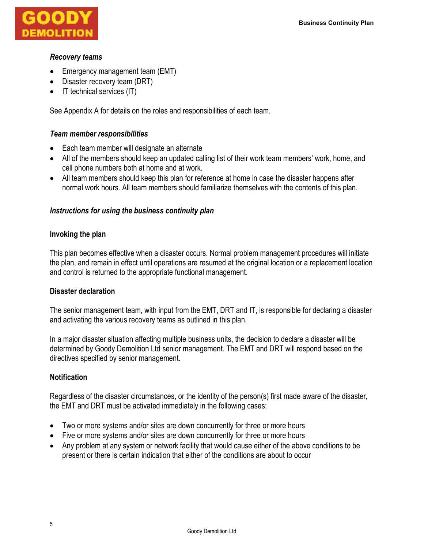

#### *Recovery teams*

- Emergency management team (EMT)
- Disaster recovery team (DRT)
- IT technical services (IT)

See Appendix A for details on the roles and responsibilities of each team.

#### *Team member responsibilities*

- Each team member will designate an alternate
- All of the members should keep an updated calling list of their work team members' work, home, and cell phone numbers both at home and at work.
- All team members should keep this plan for reference at home in case the disaster happens after normal work hours. All team members should familiarize themselves with the contents of this plan.

#### *Instructions for using the business continuity plan*

#### **Invoking the plan**

This plan becomes effective when a disaster occurs. Normal problem management procedures will initiate the plan, and remain in effect until operations are resumed at the original location or a replacement location and control is returned to the appropriate functional management.

#### **Disaster declaration**

The senior management team, with input from the EMT, DRT and IT, is responsible for declaring a disaster and activating the various recovery teams as outlined in this plan.

In a major disaster situation affecting multiple business units, the decision to declare a disaster will be determined by Goody Demolition Ltd senior management. The EMT and DRT will respond based on the directives specified by senior management.

#### **Notification**

Regardless of the disaster circumstances, or the identity of the person(s) first made aware of the disaster, the EMT and DRT must be activated immediately in the following cases:

- Two or more systems and/or sites are down concurrently for three or more hours
- Five or more systems and/or sites are down concurrently for three or more hours
- Any problem at any system or network facility that would cause either of the above conditions to be present or there is certain indication that either of the conditions are about to occur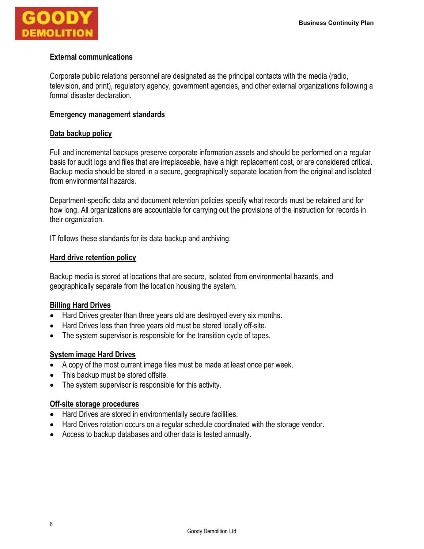

# **External communications**

Corporate public relations personnel are designated as the principal contacts with the media (radio, television, and print), regulatory agency, government agencies, and other external organizations following a formal disaster declaration.

#### **Emergency management standards**

#### **Data backup policy**

Full and incremental backups preserve corporate information assets and should be performed on a regular basis for audit logs and files that are irreplaceable, have a high replacement cost, or are considered critical. Backup media should be stored in a secure, geographically separate location from the original and isolated from environmental hazards.

Department-specific data and document retention policies specify what records must be retained and for how long. All organizations are accountable for carrying out the provisions of the instruction for records in their organization.

IT follows these standards for its data backup and archiving:

#### **Hard drive retention policy**

Backup media is stored at locations that are secure, isolated from environmental hazards, and geographically separate from the location housing the system.

#### **Billing Hard Drives**

- Hard Drives greater than three years old are destroyed every six months.
- Hard Drives less than three years old must be stored locally off-site.
- The system supervisor is responsible for the transition cycle of tapes.

#### **System image Hard Drives**

- A copy of the most current image files must be made at least once per week.
- This backup must be stored offsite.
- The system supervisor is responsible for this activity.

#### **Off-site storage procedures**

- Hard Drives are stored in environmentally secure facilities.
- Hard Drives rotation occurs on a regular schedule coordinated with the storage vendor.
- Access to backup databases and other data is tested annually.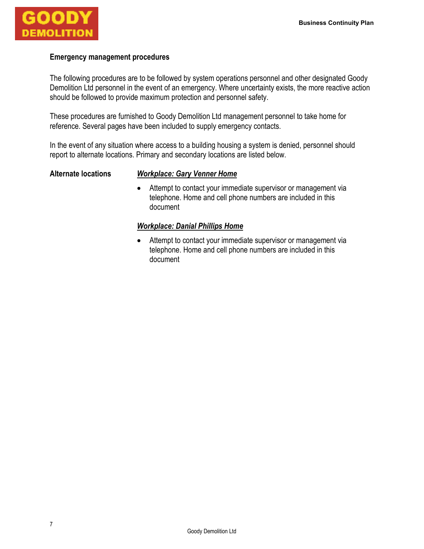

#### **Emergency management procedures**

The following procedures are to be followed by system operations personnel and other designated Goody Demolition Ltd personnel in the event of an emergency. Where uncertainty exists, the more reactive action should be followed to provide maximum protection and personnel safety.

These procedures are furnished to Goody Demolition Ltd management personnel to take home for reference. Several pages have been included to supply emergency contacts.

In the event of any situation where access to a building housing a system is denied, personnel should report to alternate locations. Primary and secondary locations are listed below.

#### **Alternate locations** *Workplace: Gary Venner Home*

 Attempt to contact your immediate supervisor or management via telephone. Home and cell phone numbers are included in this document

#### *Workplace: Danial Phillips Home*

 Attempt to contact your immediate supervisor or management via telephone. Home and cell phone numbers are included in this document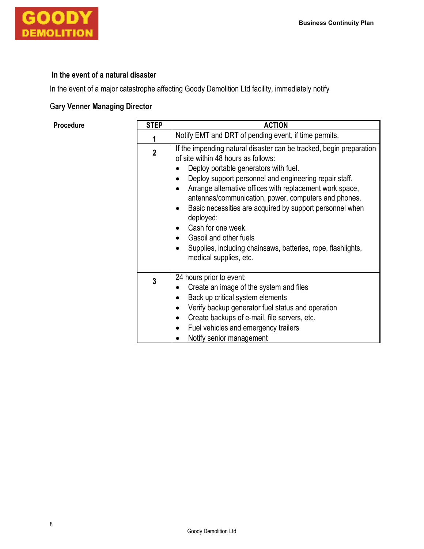

# **In the event of a natural disaster**

In the event of a major catastrophe affecting Goody Demolition Ltd facility, immediately notify

# G**ary Venner Managing Director**

 $Procedure$ 

| <b>STEP</b>                                                                                                                                                                                                                                                                                                                                                                                                                                                                                                                                                            | <b>ACTION</b>                                                                                                                                                                                                                                                                         |
|------------------------------------------------------------------------------------------------------------------------------------------------------------------------------------------------------------------------------------------------------------------------------------------------------------------------------------------------------------------------------------------------------------------------------------------------------------------------------------------------------------------------------------------------------------------------|---------------------------------------------------------------------------------------------------------------------------------------------------------------------------------------------------------------------------------------------------------------------------------------|
| 1                                                                                                                                                                                                                                                                                                                                                                                                                                                                                                                                                                      | Notify EMT and DRT of pending event, if time permits.                                                                                                                                                                                                                                 |
| If the impending natural disaster can be tracked, begin preparation<br>$\overline{2}$<br>of site within 48 hours as follows:<br>Deploy portable generators with fuel.<br>Deploy support personnel and engineering repair staff.<br>Arrange alternative offices with replacement work space,<br>antennas/communication, power, computers and phones.<br>Basic necessities are acquired by support personnel when<br>deployed:<br>Cash for one week.<br>Gasoil and other fuels<br>Supplies, including chainsaws, batteries, rope, flashlights,<br>medical supplies, etc. |                                                                                                                                                                                                                                                                                       |
| 3                                                                                                                                                                                                                                                                                                                                                                                                                                                                                                                                                                      | 24 hours prior to event:<br>Create an image of the system and files<br>Back up critical system elements<br>٠<br>Verify backup generator fuel status and operation<br>Create backups of e-mail, file servers, etc.<br>Fuel vehicles and emergency trailers<br>Notify senior management |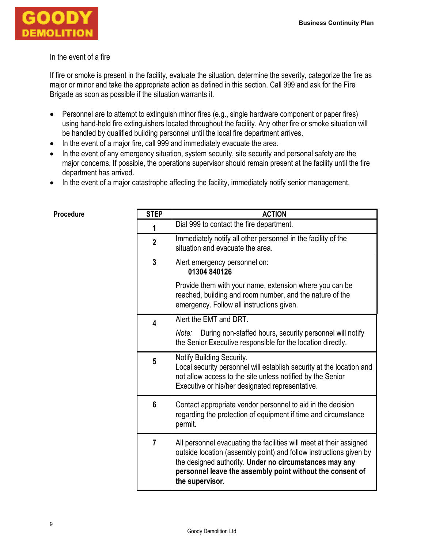

In the event of a fire

If fire or smoke is present in the facility, evaluate the situation, determine the severity, categorize the fire as major or minor and take the appropriate action as defined in this section. Call 999 and ask for the Fire Brigade as soon as possible if the situation warrants it.

- Personnel are to attempt to extinguish minor fires (e.g., single hardware component or paper fires) using hand-held fire extinguishers located throughout the facility. Any other fire or smoke situation will be handled by qualified building personnel until the local fire department arrives.
- In the event of a major fire, call 999 and immediately evacuate the area.
- In the event of any emergency situation, system security, site security and personal safety are the major concerns. If possible, the operations supervisor should remain present at the facility until the fire department has arrived.
- In the event of a major catastrophe affecting the facility, immediately notify senior management.

 $Procedure$ 

| <b>STEP</b>    | <b>ACTION</b>                                                                                                                                                                                                                                                                       |
|----------------|-------------------------------------------------------------------------------------------------------------------------------------------------------------------------------------------------------------------------------------------------------------------------------------|
| 1              | Dial 999 to contact the fire department.                                                                                                                                                                                                                                            |
| $\overline{2}$ | Immediately notify all other personnel in the facility of the<br>situation and evacuate the area.                                                                                                                                                                                   |
| $\overline{3}$ | Alert emergency personnel on:<br>01304 840126                                                                                                                                                                                                                                       |
|                | Provide them with your name, extension where you can be<br>reached, building and room number, and the nature of the<br>emergency. Follow all instructions given.                                                                                                                    |
| 4              | Alert the EMT and DRT.                                                                                                                                                                                                                                                              |
|                | During non-staffed hours, security personnel will notify<br>Note:<br>the Senior Executive responsible for the location directly.                                                                                                                                                    |
| 5              | Notify Building Security.<br>Local security personnel will establish security at the location and<br>not allow access to the site unless notified by the Senior<br>Executive or his/her designated representative.                                                                  |
| 6              | Contact appropriate vendor personnel to aid in the decision<br>regarding the protection of equipment if time and circumstance<br>permit.                                                                                                                                            |
| $\overline{7}$ | All personnel evacuating the facilities will meet at their assigned<br>outside location (assembly point) and follow instructions given by<br>the designed authority. Under no circumstances may any<br>personnel leave the assembly point without the consent of<br>the supervisor. |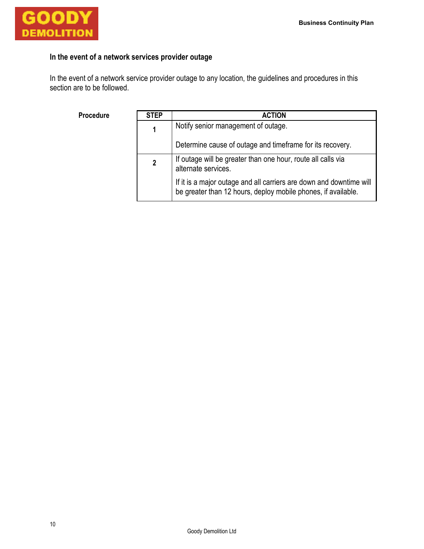

# **In the event of a network services provider outage**

In the event of a network service provider outage to any location, the guidelines and procedures in this section are to be followed.

 $Procedure$ 

| edure | <b>STEP</b>  | <b>ACTION</b>                                                                                                                        |
|-------|--------------|--------------------------------------------------------------------------------------------------------------------------------------|
|       | 1            | Notify senior management of outage.                                                                                                  |
|       |              | Determine cause of outage and timeframe for its recovery.                                                                            |
|       | $\mathbf{2}$ | If outage will be greater than one hour, route all calls via<br>alternate services.                                                  |
|       |              | If it is a major outage and all carriers are down and downtime will<br>be greater than 12 hours, deploy mobile phones, if available. |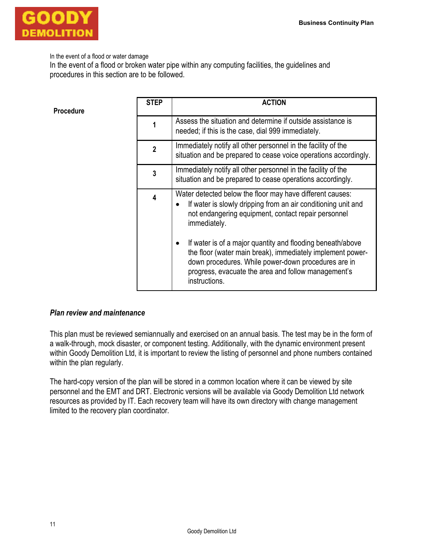

**Procedure** 

In the event of a flood or water damage

In the event of a flood or broken water pipe within any computing facilities, the guidelines and procedures in this section are to be followed.

| <b>STEP</b>             | <b>ACTION</b>                                                                                                                                                                                                                                           |
|-------------------------|---------------------------------------------------------------------------------------------------------------------------------------------------------------------------------------------------------------------------------------------------------|
|                         | Assess the situation and determine if outside assistance is<br>needed; if this is the case, dial 999 immediately.                                                                                                                                       |
| $\overline{2}$          | Immediately notify all other personnel in the facility of the<br>situation and be prepared to cease voice operations accordingly.                                                                                                                       |
| 3                       | Immediately notify all other personnel in the facility of the<br>situation and be prepared to cease operations accordingly.                                                                                                                             |
| $\overline{\mathbf{4}}$ | Water detected below the floor may have different causes:<br>If water is slowly dripping from an air conditioning unit and<br>not endangering equipment, contact repair personnel<br>immediately.                                                       |
|                         | If water is of a major quantity and flooding beneath/above<br>the floor (water main break), immediately implement power-<br>down procedures. While power-down procedures are in<br>progress, evacuate the area and follow management's<br>instructions. |

#### *Plan review and maintenance*

This plan must be reviewed semiannually and exercised on an annual basis. The test may be in the form of a walk-through, mock disaster, or component testing. Additionally, with the dynamic environment present within Goody Demolition Ltd, it is important to review the listing of personnel and phone numbers contained within the plan regularly.

The hard-copy version of the plan will be stored in a common location where it can be viewed by site personnel and the EMT and DRT. Electronic versions will be available via Goody Demolition Ltd network resources as provided by IT. Each recovery team will have its own directory with change management limited to the recovery plan coordinator.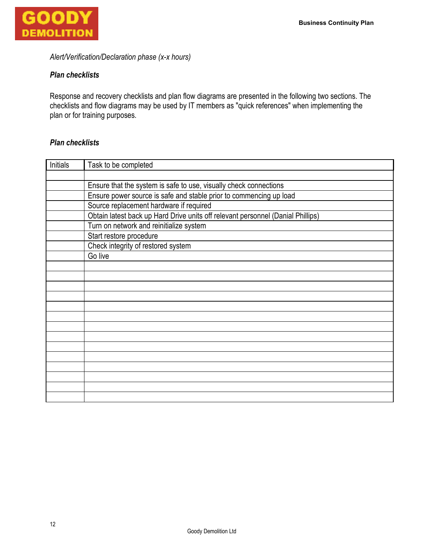

*Alert/Verification/Declaration phase (x-x hours)* 

### *Plan checklists*

Response and recovery checklists and plan flow diagrams are presented in the following two sections. The checklists and flow diagrams may be used by IT members as "quick references" when implementing the plan or for training purposes.

#### *Plan checklists*

| Initials | Task to be completed                                                            |
|----------|---------------------------------------------------------------------------------|
|          |                                                                                 |
|          | Ensure that the system is safe to use, visually check connections               |
|          | Ensure power source is safe and stable prior to commencing up load              |
|          | Source replacement hardware if required                                         |
|          | Obtain latest back up Hard Drive units off relevant personnel (Danial Phillips) |
|          | Turn on network and reinitialize system                                         |
|          | Start restore procedure                                                         |
|          | Check integrity of restored system                                              |
|          | Go live                                                                         |
|          |                                                                                 |
|          |                                                                                 |
|          |                                                                                 |
|          |                                                                                 |
|          |                                                                                 |
|          |                                                                                 |
|          |                                                                                 |
|          |                                                                                 |
|          |                                                                                 |
|          |                                                                                 |
|          |                                                                                 |
|          |                                                                                 |
|          |                                                                                 |
|          |                                                                                 |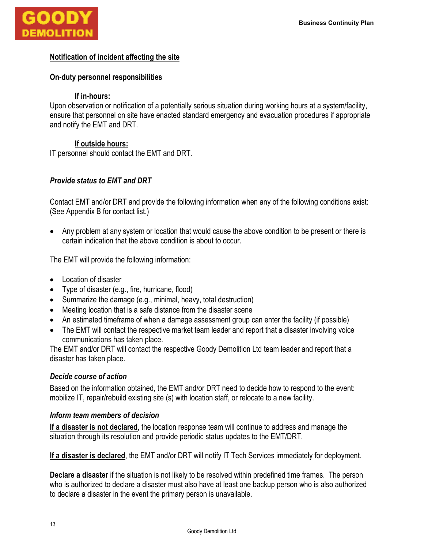

#### **Notification of incident affecting the site**

#### **On-duty personnel responsibilities**

#### **If in-hours:**

Upon observation or notification of a potentially serious situation during working hours at a system/facility, ensure that personnel on site have enacted standard emergency and evacuation procedures if appropriate and notify the EMT and DRT.

#### **If outside hours:**

IT personnel should contact the EMT and DRT.

#### *Provide status to EMT and DRT*

Contact EMT and/or DRT and provide the following information when any of the following conditions exist: (See Appendix B for contact list.)

 Any problem at any system or location that would cause the above condition to be present or there is certain indication that the above condition is about to occur.

The EMT will provide the following information:

- Location of disaster
- Type of disaster (e.g., fire, hurricane, flood)
- Summarize the damage (e.g., minimal, heavy, total destruction)
- Meeting location that is a safe distance from the disaster scene
- An estimated timeframe of when a damage assessment group can enter the facility (if possible)
- The EMT will contact the respective market team leader and report that a disaster involving voice communications has taken place.

The EMT and/or DRT will contact the respective Goody Demolition Ltd team leader and report that a disaster has taken place.

#### *Decide course of action*

Based on the information obtained, the EMT and/or DRT need to decide how to respond to the event: mobilize IT, repair/rebuild existing site (s) with location staff, or relocate to a new facility.

#### *Inform team members of decision*

**If a disaster is not declared**, the location response team will continue to address and manage the situation through its resolution and provide periodic status updates to the EMT/DRT.

**If a disaster is declared**, the EMT and/or DRT will notify IT Tech Services immediately for deployment.

**Declare a disaster** if the situation is not likely to be resolved within predefined time frames. The person who is authorized to declare a disaster must also have at least one backup person who is also authorized to declare a disaster in the event the primary person is unavailable.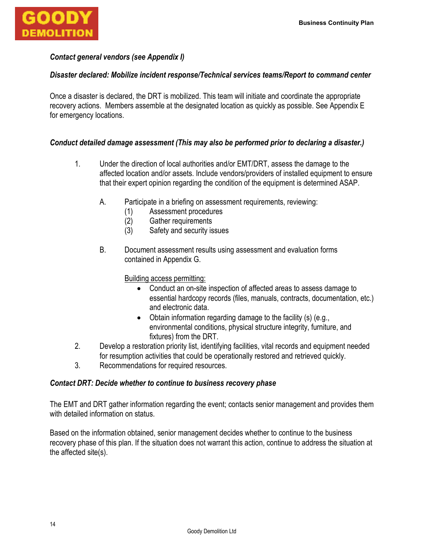

#### *Contact general vendors (see Appendix I)*

#### *Disaster declared: Mobilize incident response/Technical services teams/Report to command center*

Once a disaster is declared, the DRT is mobilized. This team will initiate and coordinate the appropriate recovery actions. Members assemble at the designated location as quickly as possible. See Appendix E for emergency locations.

#### *Conduct detailed damage assessment (This may also be performed prior to declaring a disaster.)*

- 1. Under the direction of local authorities and/or EMT/DRT, assess the damage to the affected location and/or assets. Include vendors/providers of installed equipment to ensure that their expert opinion regarding the condition of the equipment is determined ASAP.
	- A. Participate in a briefing on assessment requirements, reviewing:
		- (1) Assessment procedures
		- (2) Gather requirements
		- (3) Safety and security issues
	- B. Document assessment results using assessment and evaluation forms contained in Appendix G.

Building access permitting:

- Conduct an on-site inspection of affected areas to assess damage to essential hardcopy records (files, manuals, contracts, documentation, etc.) and electronic data.
- Obtain information regarding damage to the facility (s) (e.g., environmental conditions, physical structure integrity, furniture, and fixtures) from the DRT.
- 2. Develop a restoration priority list, identifying facilities, vital records and equipment needed for resumption activities that could be operationally restored and retrieved quickly.
- 3. Recommendations for required resources.

#### *Contact DRT: Decide whether to continue to business recovery phase*

The EMT and DRT gather information regarding the event; contacts senior management and provides them with detailed information on status.

Based on the information obtained, senior management decides whether to continue to the business recovery phase of this plan. If the situation does not warrant this action, continue to address the situation at the affected site(s).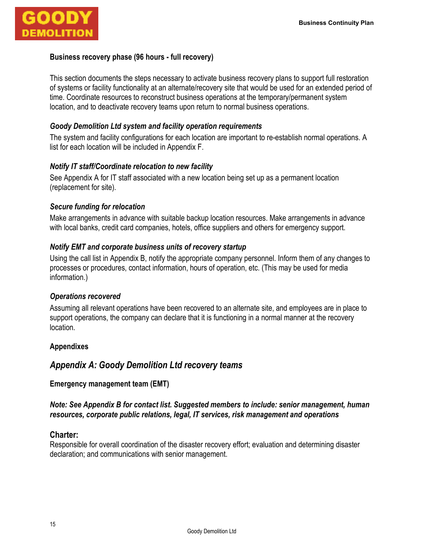

### **Business recovery phase (96 hours - full recovery)**

This section documents the steps necessary to activate business recovery plans to support full restoration of systems or facility functionality at an alternate/recovery site that would be used for an extended period of time. Coordinate resources to reconstruct business operations at the temporary/permanent system location, and to deactivate recovery teams upon return to normal business operations.

#### *Goody Demolition Ltd system and facility operation requirements*

The system and facility configurations for each location are important to re-establish normal operations. A list for each location will be included in Appendix F.

#### *Notify IT staff/Coordinate relocation to new facility*

See Appendix A for IT staff associated with a new location being set up as a permanent location (replacement for site).

#### *Secure funding for relocation*

Make arrangements in advance with suitable backup location resources. Make arrangements in advance with local banks, credit card companies, hotels, office suppliers and others for emergency support.

#### *Notify EMT and corporate business units of recovery startup*

Using the call list in Appendix B, notify the appropriate company personnel. Inform them of any changes to processes or procedures, contact information, hours of operation, etc. (This may be used for media information.)

#### *Operations recovered*

Assuming all relevant operations have been recovered to an alternate site, and employees are in place to support operations, the company can declare that it is functioning in a normal manner at the recovery location.

#### **Appendixes**

# *Appendix A: Goody Demolition Ltd recovery teams*

#### **Emergency management team (EMT)**

#### *Note: See Appendix B for contact list. Suggested members to include: senior management, human resources, corporate public relations, legal, IT services, risk management and operations*

#### **Charter:**

Responsible for overall coordination of the disaster recovery effort; evaluation and determining disaster declaration; and communications with senior management.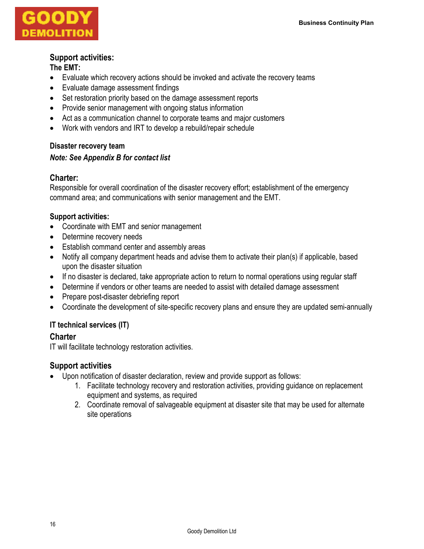

# **Support activities:**

# **The EMT:**

- Evaluate which recovery actions should be invoked and activate the recovery teams
- Evaluate damage assessment findings
- Set restoration priority based on the damage assessment reports
- Provide senior management with ongoing status information
- Act as a communication channel to corporate teams and major customers
- Work with vendors and IRT to develop a rebuild/repair schedule

# **Disaster recovery team**

# *Note: See Appendix B for contact list*

# **Charter:**

Responsible for overall coordination of the disaster recovery effort; establishment of the emergency command area; and communications with senior management and the EMT.

# **Support activities:**

- Coordinate with EMT and senior management
- Determine recovery needs
- Establish command center and assembly areas
- Notify all company department heads and advise them to activate their plan(s) if applicable, based upon the disaster situation
- If no disaster is declared, take appropriate action to return to normal operations using regular staff
- Determine if vendors or other teams are needed to assist with detailed damage assessment
- Prepare post-disaster debriefing report
- Coordinate the development of site-specific recovery plans and ensure they are updated semi-annually

# **IT technical services (IT)**

# **Charter**

IT will facilitate technology restoration activities.

# **Support activities**

- Upon notification of disaster declaration, review and provide support as follows:
	- 1. Facilitate technology recovery and restoration activities, providing guidance on replacement equipment and systems, as required
	- 2. Coordinate removal of salvageable equipment at disaster site that may be used for alternate site operations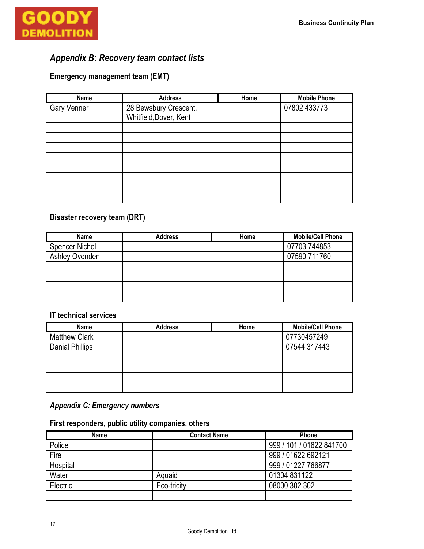

# *Appendix B: Recovery team contact lists*

# **Emergency management team (EMT)**

| Name               | <b>Address</b>                                  | Home | <b>Mobile Phone</b> |
|--------------------|-------------------------------------------------|------|---------------------|
| <b>Gary Venner</b> | 28 Bewsbury Crescent,<br>Whitfield, Dover, Kent |      | 07802 433773        |
|                    |                                                 |      |                     |
|                    |                                                 |      |                     |
|                    |                                                 |      |                     |
|                    |                                                 |      |                     |
|                    |                                                 |      |                     |
|                    |                                                 |      |                     |
|                    |                                                 |      |                     |
|                    |                                                 |      |                     |

# **Disaster recovery team (DRT)**

| <b>Name</b>           | <b>Address</b> | Home | <b>Mobile/Cell Phone</b> |
|-----------------------|----------------|------|--------------------------|
| <b>Spencer Nichol</b> |                |      | 07703 744853             |
| Ashley Ovenden        |                |      | 07590 711760             |
|                       |                |      |                          |
|                       |                |      |                          |
|                       |                |      |                          |
|                       |                |      |                          |

# **IT technical services**

| <b>Name</b>          | <b>Address</b> | Home | <b>Mobile/Cell Phone</b> |
|----------------------|----------------|------|--------------------------|
| <b>Matthew Clark</b> |                |      | 07730457249              |
| Danial Phillips      |                |      | 07544 317443             |
|                      |                |      |                          |
|                      |                |      |                          |
|                      |                |      |                          |
|                      |                |      |                          |

# *Appendix C: Emergency numbers*

# **First responders, public utility companies, others**

| <b>Name</b> | <b>Contact Name</b> | <b>Phone</b>             |
|-------------|---------------------|--------------------------|
| Police      |                     | 999 / 101 / 01622 841700 |
| Fire        |                     | 999 / 01622 692121       |
| Hospital    |                     | 999 / 01227 766877       |
| Water       | Aquaid              | 01304 831122             |
| Electric    | Eco-tricity         | 08000 302 302            |
|             |                     |                          |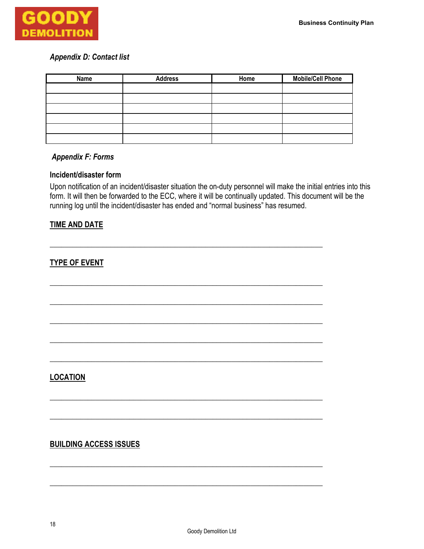

# *Appendix D: Contact list*

| Name | <b>Address</b> | Home | <b>Mobile/Cell Phone</b> |
|------|----------------|------|--------------------------|
|      |                |      |                          |
|      |                |      |                          |
|      |                |      |                          |
|      |                |      |                          |
|      |                |      |                          |
|      |                |      |                          |

# *Appendix F: Forms*

#### **Incident/disaster form**

Upon notification of an incident/disaster situation the on-duty personnel will make the initial entries into this form. It will then be forwarded to the ECC, where it will be continually updated. This document will be the running log until the incident/disaster has ended and "normal business" has resumed.

**\_\_\_\_\_\_\_\_\_\_\_\_\_\_\_\_\_\_\_\_\_\_\_\_\_\_\_\_\_\_\_\_\_\_\_\_\_\_\_\_\_\_\_\_\_\_\_\_\_\_\_\_\_\_\_\_\_\_\_\_\_\_\_\_\_\_\_\_\_\_\_\_** 

**\_\_\_\_\_\_\_\_\_\_\_\_\_\_\_\_\_\_\_\_\_\_\_\_\_\_\_\_\_\_\_\_\_\_\_\_\_\_\_\_\_\_\_\_\_\_\_\_\_\_\_\_\_\_\_\_\_\_\_\_\_\_\_\_\_\_\_\_\_\_\_\_** 

**\_\_\_\_\_\_\_\_\_\_\_\_\_\_\_\_\_\_\_\_\_\_\_\_\_\_\_\_\_\_\_\_\_\_\_\_\_\_\_\_\_\_\_\_\_\_\_\_\_\_\_\_\_\_\_\_\_\_\_\_\_\_\_\_\_\_\_\_\_\_\_\_** 

**\_\_\_\_\_\_\_\_\_\_\_\_\_\_\_\_\_\_\_\_\_\_\_\_\_\_\_\_\_\_\_\_\_\_\_\_\_\_\_\_\_\_\_\_\_\_\_\_\_\_\_\_\_\_\_\_\_\_\_\_\_\_\_\_\_\_\_\_\_\_\_\_** 

**\_\_\_\_\_\_\_\_\_\_\_\_\_\_\_\_\_\_\_\_\_\_\_\_\_\_\_\_\_\_\_\_\_\_\_\_\_\_\_\_\_\_\_\_\_\_\_\_\_\_\_\_\_\_\_\_\_\_\_\_\_\_\_\_\_\_\_\_\_\_\_\_** 

**\_\_\_\_\_\_\_\_\_\_\_\_\_\_\_\_\_\_\_\_\_\_\_\_\_\_\_\_\_\_\_\_\_\_\_\_\_\_\_\_\_\_\_\_\_\_\_\_\_\_\_\_\_\_\_\_\_\_\_\_\_\_\_\_\_\_\_\_\_\_\_\_** 

**\_\_\_\_\_\_\_\_\_\_\_\_\_\_\_\_\_\_\_\_\_\_\_\_\_\_\_\_\_\_\_\_\_\_\_\_\_\_\_\_\_\_\_\_\_\_\_\_\_\_\_\_\_\_\_\_\_\_\_\_\_\_\_\_\_\_\_\_\_\_\_\_** 

**\_\_\_\_\_\_\_\_\_\_\_\_\_\_\_\_\_\_\_\_\_\_\_\_\_\_\_\_\_\_\_\_\_\_\_\_\_\_\_\_\_\_\_\_\_\_\_\_\_\_\_\_\_\_\_\_\_\_\_\_\_\_\_\_\_\_\_\_\_\_\_\_** 

**\_\_\_\_\_\_\_\_\_\_\_\_\_\_\_\_\_\_\_\_\_\_\_\_\_\_\_\_\_\_\_\_\_\_\_\_\_\_\_\_\_\_\_\_\_\_\_\_\_\_\_\_\_\_\_\_\_\_\_\_\_\_\_\_\_\_\_\_\_\_\_\_** 

**\_\_\_\_\_\_\_\_\_\_\_\_\_\_\_\_\_\_\_\_\_\_\_\_\_\_\_\_\_\_\_\_\_\_\_\_\_\_\_\_\_\_\_\_\_\_\_\_\_\_\_\_\_\_\_\_\_\_\_\_\_\_\_\_\_\_\_\_\_\_\_\_** 

# **TIME AND DATE**

# **TYPE OF EVENT**

# **LOCATION**

# **BUILDING ACCESS ISSUES**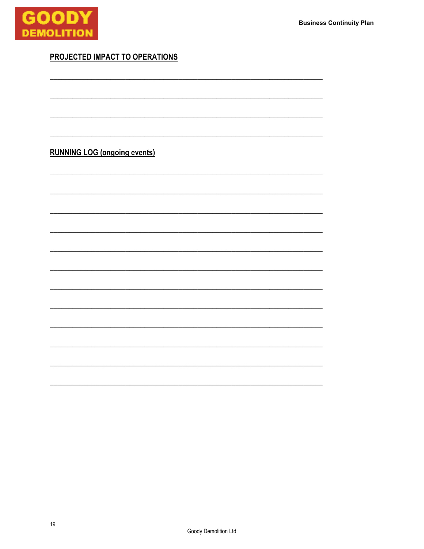

# **PROJECTED IMPACT TO OPERATIONS**

**RUNNING LOG (ongoing events)** 

Goody Demolition Ltd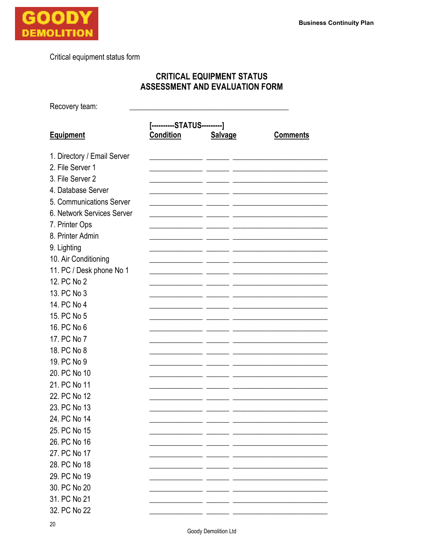

Critical equipment status form

# **CRITICAL EQUIPMENT STATUS** ASSESSMENT AND EVALUATION FORM

Recovery team:

|                             | [----------STATUS---------] |                |                 |
|-----------------------------|-----------------------------|----------------|-----------------|
| <b>Equipment</b>            | <b>Condition</b>            | <b>Salvage</b> | <b>Comments</b> |
| 1. Directory / Email Server |                             |                |                 |
| 2. File Server 1            |                             |                |                 |
| 3. File Server 2            |                             |                |                 |
| 4. Database Server          |                             |                |                 |
| 5. Communications Server    |                             |                |                 |
| 6. Network Services Server  |                             |                |                 |
| 7. Printer Ops              |                             |                |                 |
| 8. Printer Admin            |                             |                |                 |
| 9. Lighting                 |                             |                |                 |
| 10. Air Conditioning        |                             |                |                 |
| 11. PC / Desk phone No 1    |                             |                |                 |
| 12. PC No 2                 |                             |                |                 |
| 13. PC No 3                 |                             |                |                 |
| 14. PC No 4                 |                             |                |                 |
| 15. PC No 5                 |                             |                |                 |
| 16. PC No 6                 |                             |                |                 |
| 17. PC No 7                 |                             |                |                 |
| 18. PC No 8                 |                             |                |                 |
| 19. PC No 9                 |                             |                |                 |
| 20. PC No 10                |                             |                |                 |
| 21. PC No 11                |                             |                |                 |
| 22. PC No 12                |                             |                |                 |
| 23. PC No 13                |                             |                |                 |
| 24. PC No 14                |                             |                |                 |
| 25. PC No 15                |                             |                |                 |
| 26. PC No 16                |                             |                |                 |
| 27. PC No 17                |                             |                |                 |
| 28. PC No 18                |                             |                |                 |
| 29. PC No 19                |                             |                |                 |
| 30. PC No 20                |                             |                |                 |
| 31. PC No 21                |                             |                |                 |
| 32. PC No 22                |                             |                |                 |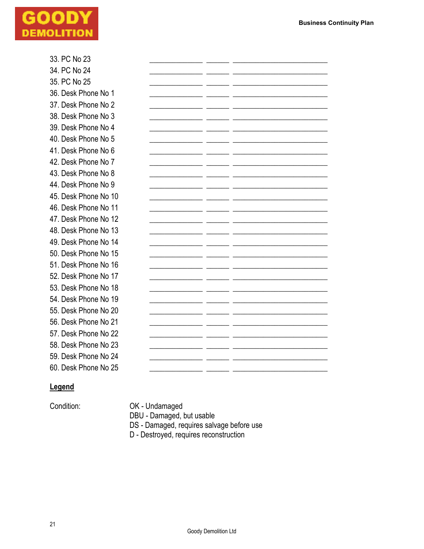

| 33. PC No 23         |                                                                                                                                                                                                                                      |  |
|----------------------|--------------------------------------------------------------------------------------------------------------------------------------------------------------------------------------------------------------------------------------|--|
| 34. PC No 24         |                                                                                                                                                                                                                                      |  |
| 35. PC No 25         |                                                                                                                                                                                                                                      |  |
| 36. Desk Phone No 1  |                                                                                                                                                                                                                                      |  |
| 37. Desk Phone No 2  |                                                                                                                                                                                                                                      |  |
| 38. Desk Phone No 3  |                                                                                                                                                                                                                                      |  |
| 39. Desk Phone No 4  |                                                                                                                                                                                                                                      |  |
| 40. Desk Phone No 5  |                                                                                                                                                                                                                                      |  |
| 41. Desk Phone No 6  |                                                                                                                                                                                                                                      |  |
| 42. Desk Phone No 7  |                                                                                                                                                                                                                                      |  |
| 43. Desk Phone No 8  |                                                                                                                                                                                                                                      |  |
| 44. Desk Phone No 9  |                                                                                                                                                                                                                                      |  |
| 45. Desk Phone No 10 | _ ________                                                                                                                                                                                                                           |  |
| 46. Desk Phone No 11 |                                                                                                                                                                                                                                      |  |
| 47. Desk Phone No 12 |                                                                                                                                                                                                                                      |  |
| 48. Desk Phone No 13 |                                                                                                                                                                                                                                      |  |
| 49. Desk Phone No 14 | - -                                                                                                                                                                                                                                  |  |
| 50. Desk Phone No 15 |                                                                                                                                                                                                                                      |  |
| 51. Desk Phone No 16 |                                                                                                                                                                                                                                      |  |
| 52. Desk Phone No 17 | <u> The Communication of the Communication of the Communication of the Communication of the Communication of the Communication of the Communication of the Communication of the Communication of the Communication of the Commun</u> |  |
| 53. Desk Phone No 18 |                                                                                                                                                                                                                                      |  |
| 54. Desk Phone No 19 |                                                                                                                                                                                                                                      |  |
| 55. Desk Phone No 20 |                                                                                                                                                                                                                                      |  |
| 56. Desk Phone No 21 |                                                                                                                                                                                                                                      |  |
| 57. Desk Phone No 22 |                                                                                                                                                                                                                                      |  |
| 58. Desk Phone No 23 |                                                                                                                                                                                                                                      |  |
| 59. Desk Phone No 24 |                                                                                                                                                                                                                                      |  |
| 60. Desk Phone No 25 |                                                                                                                                                                                                                                      |  |

# Legend

Condition:

OK - Undamaged DBU - Damaged, but usable<br>DS - Damaged, requires salvage before use<br>D - Destroyed, requires reconstruction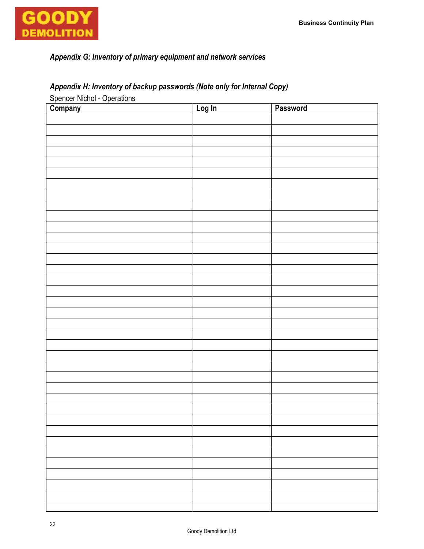

# *Appendix G: Inventory of primary equipment and network services*

# *Appendix H: Inventory of backup passwords (Note only for Internal Copy)*

Spencer Nichol - Operations

| Company | Log In | <b>Password</b> |
|---------|--------|-----------------|
|         |        |                 |
|         |        |                 |
|         |        |                 |
|         |        |                 |
|         |        |                 |
|         |        |                 |
|         |        |                 |
|         |        |                 |
|         |        |                 |
|         |        |                 |
|         |        |                 |
|         |        |                 |
|         |        |                 |
|         |        |                 |
|         |        |                 |
|         |        |                 |
|         |        |                 |
|         |        |                 |
|         |        |                 |
|         |        |                 |
|         |        |                 |
|         |        |                 |
|         |        |                 |
|         |        |                 |
|         |        |                 |
|         |        |                 |
|         |        |                 |
|         |        |                 |
|         |        |                 |
|         |        |                 |
|         |        |                 |
|         |        |                 |
|         |        |                 |
|         |        |                 |
|         |        |                 |
|         |        |                 |
|         |        |                 |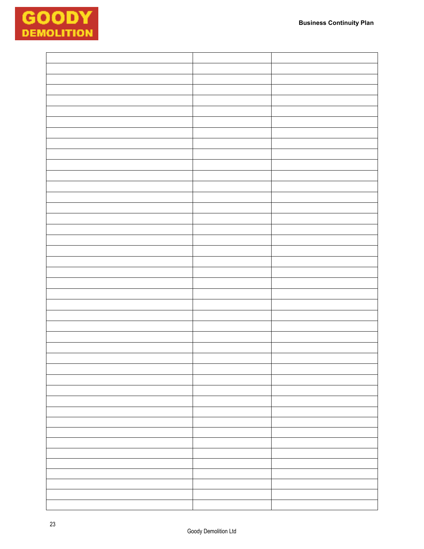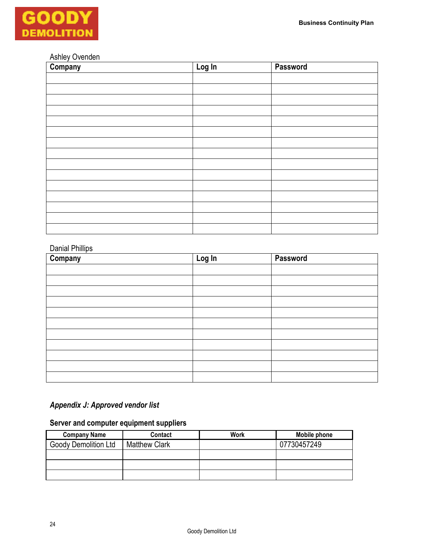

# Ashley Ovenden

| Company | Log In | Password |
|---------|--------|----------|
|         |        |          |
|         |        |          |
|         |        |          |
|         |        |          |
|         |        |          |
|         |        |          |
|         |        |          |
|         |        |          |
|         |        |          |
|         |        |          |
|         |        |          |
|         |        |          |
|         |        |          |
|         |        |          |
|         |        |          |

# Danial Phillips

| Company | Log In | Password |
|---------|--------|----------|
|         |        |          |
|         |        |          |
|         |        |          |
|         |        |          |
|         |        |          |
|         |        |          |
|         |        |          |
|         |        |          |
|         |        |          |
|         |        |          |
|         |        |          |

# *Appendix J: Approved vendor list*

# **Server and computer equipment suppliers**

| <b>Company Name</b>         | Contact              | <b>Work</b> | Mobile phone |
|-----------------------------|----------------------|-------------|--------------|
| <b>Goody Demolition Ltd</b> | <b>Matthew Clark</b> |             | 07730457249  |
|                             |                      |             |              |
|                             |                      |             |              |
|                             |                      |             |              |